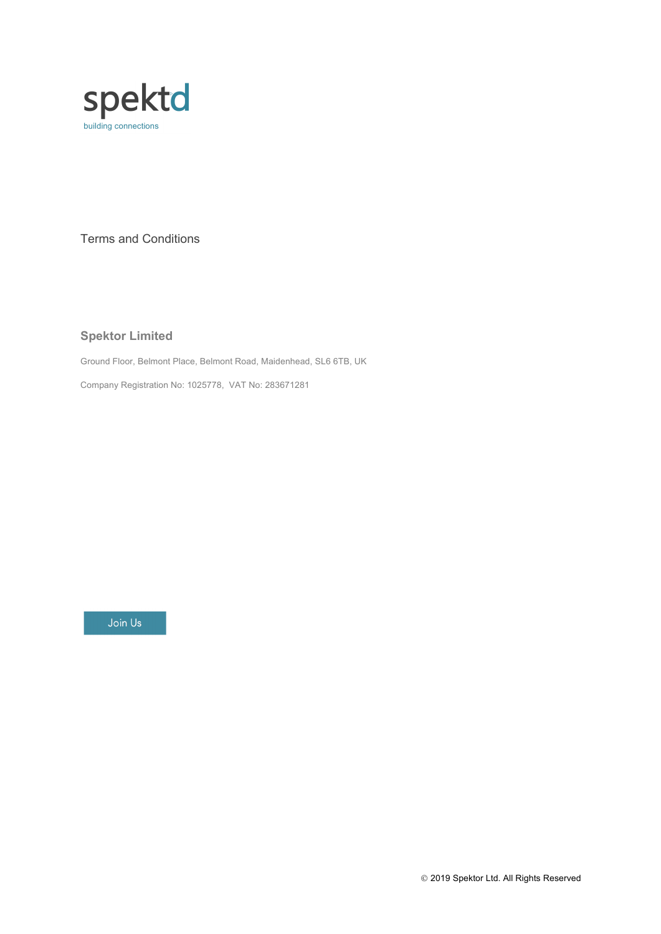

Terms and Conditions

# **Spektor Limited**

Ground Floor, Belmont Place, Belmont Road, Maidenhead, SL6 6TB, UK

Company Registration No: 1025778, VAT No: 283671281

Join Us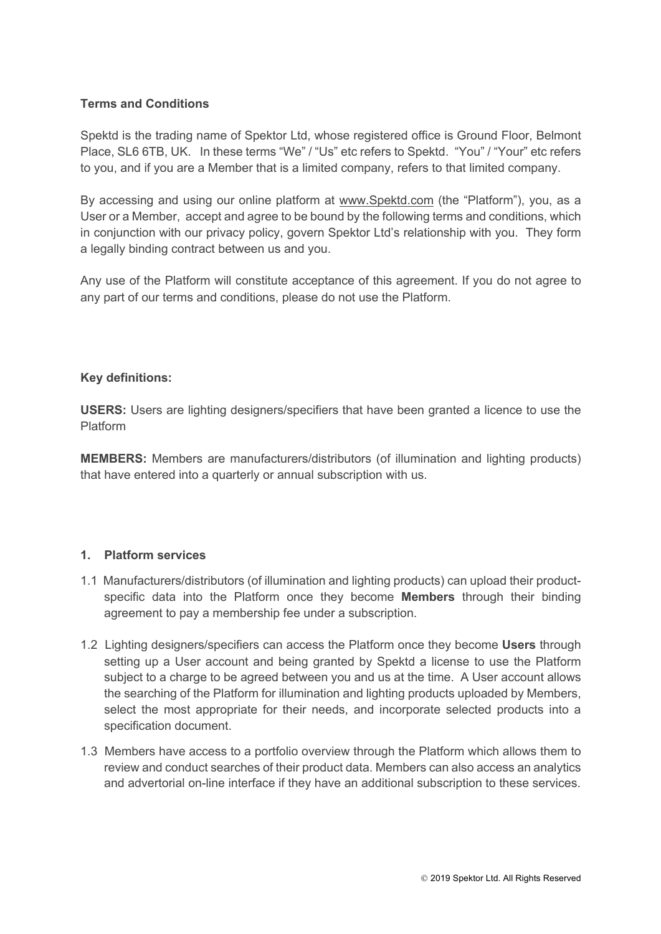# **Terms and Conditions**

Spektd is the trading name of Spektor Ltd, whose registered office is Ground Floor, Belmont Place, SL6 6TB, UK. In these terms "We" / "Us" etc refers to Spektd. "You" / "Your" etc refers to you, and if you are a Member that is a limited company, refers to that limited company.

By accessing and using our online platform at www.Spektd.com (the "Platform"), you, as a User or a Member, accept and agree to be bound by the following terms and conditions, which in conjunction with our privacy policy, govern Spektor Ltd's relationship with you. They form a legally binding contract between us and you.

Any use of the Platform will constitute acceptance of this agreement. If you do not agree to any part of our terms and conditions, please do not use the Platform.

#### **Key definitions:**

**USERS:** Users are lighting designers/specifiers that have been granted a licence to use the Platform

**MEMBERS:** Members are manufacturers/distributors (of illumination and lighting products) that have entered into a quarterly or annual subscription with us.

### **1. Platform services**

- 1.1 Manufacturers/distributors (of illumination and lighting products) can upload their productspecific data into the Platform once they become **Members** through their binding agreement to pay a membership fee under a subscription.
- 1.2 Lighting designers/specifiers can access the Platform once they become **Users** through setting up a User account and being granted by Spektd a license to use the Platform subject to a charge to be agreed between you and us at the time. A User account allows the searching of the Platform for illumination and lighting products uploaded by Members, select the most appropriate for their needs, and incorporate selected products into a specification document.
- 1.3 Members have access to a portfolio overview through the Platform which allows them to review and conduct searches of their product data. Members can also access an analytics and advertorial on-line interface if they have an additional subscription to these services.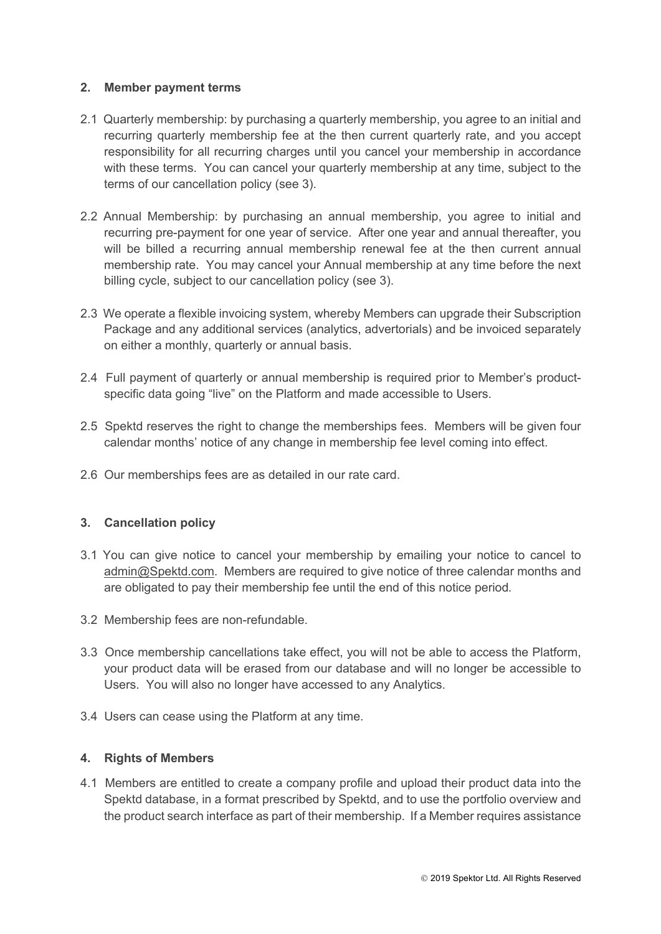## **2. Member payment terms**

- 2.1 Quarterly membership: by purchasing a quarterly membership, you agree to an initial and recurring quarterly membership fee at the then current quarterly rate, and you accept responsibility for all recurring charges until you cancel your membership in accordance with these terms. You can cancel your quarterly membership at any time, subject to the terms of our cancellation policy (see 3).
- 2.2 Annual Membership: by purchasing an annual membership, you agree to initial and recurring pre-payment for one year of service. After one year and annual thereafter, you will be billed a recurring annual membership renewal fee at the then current annual membership rate. You may cancel your Annual membership at any time before the next billing cycle, subject to our cancellation policy (see 3).
- 2.3 We operate a flexible invoicing system, whereby Members can upgrade their Subscription Package and any additional services (analytics, advertorials) and be invoiced separately on either a monthly, quarterly or annual basis.
- 2.4 Full payment of quarterly or annual membership is required prior to Member's productspecific data going "live" on the Platform and made accessible to Users.
- 2.5 Spektd reserves the right to change the memberships fees. Members will be given four calendar months' notice of any change in membership fee level coming into effect.
- 2.6 Our memberships fees are as detailed in our rate card.

# **3. Cancellation policy**

- 3.1 You can give notice to cancel your membership by emailing your notice to cancel to admin@Spektd.com. Members are required to give notice of three calendar months and are obligated to pay their membership fee until the end of this notice period*.*
- 3.2 Membership fees are non-refundable.
- 3.3 Once membership cancellations take effect, you will not be able to access the Platform, your product data will be erased from our database and will no longer be accessible to Users. You will also no longer have accessed to any Analytics.
- 3.4 Users can cease using the Platform at any time.

### **4. Rights of Members**

4.1 Members are entitled to create a company profile and upload their product data into the Spektd database, in a format prescribed by Spektd, and to use the portfolio overview and the product search interface as part of their membership. If a Member requires assistance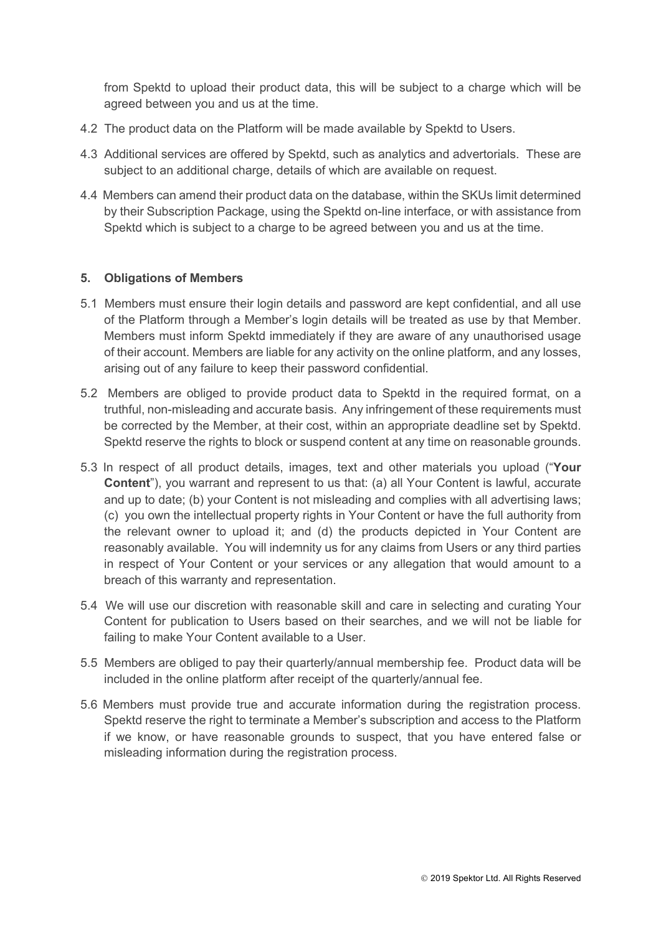from Spektd to upload their product data, this will be subject to a charge which will be agreed between you and us at the time.

- 4.2 The product data on the Platform will be made available by Spektd to Users.
- 4.3 Additional services are offered by Spektd, such as analytics and advertorials. These are subject to an additional charge, details of which are available on request.
- 4.4 Members can amend their product data on the database, within the SKUs limit determined by their Subscription Package, using the Spektd on-line interface, or with assistance from Spektd which is subject to a charge to be agreed between you and us at the time.

# **5. Obligations of Members**

- 5.1 Members must ensure their login details and password are kept confidential, and all use of the Platform through a Member's login details will be treated as use by that Member. Members must inform Spektd immediately if they are aware of any unauthorised usage of their account. Members are liable for any activity on the online platform, and any losses, arising out of any failure to keep their password confidential.
- 5.2 Members are obliged to provide product data to Spektd in the required format, on a truthful, non-misleading and accurate basis. Any infringement of these requirements must be corrected by the Member, at their cost, within an appropriate deadline set by Spektd. Spektd reserve the rights to block or suspend content at any time on reasonable grounds.
- 5.3 In respect of all product details, images, text and other materials you upload ("**Your Content**"), you warrant and represent to us that: (a) all Your Content is lawful, accurate and up to date; (b) your Content is not misleading and complies with all advertising laws; (c) you own the intellectual property rights in Your Content or have the full authority from the relevant owner to upload it; and (d) the products depicted in Your Content are reasonably available. You will indemnity us for any claims from Users or any third parties in respect of Your Content or your services or any allegation that would amount to a breach of this warranty and representation.
- 5.4 We will use our discretion with reasonable skill and care in selecting and curating Your Content for publication to Users based on their searches, and we will not be liable for failing to make Your Content available to a User.
- 5.5 Members are obliged to pay their quarterly/annual membership fee. Product data will be included in the online platform after receipt of the quarterly/annual fee.
- 5.6 Members must provide true and accurate information during the registration process. Spektd reserve the right to terminate a Member's subscription and access to the Platform if we know, or have reasonable grounds to suspect, that you have entered false or misleading information during the registration process.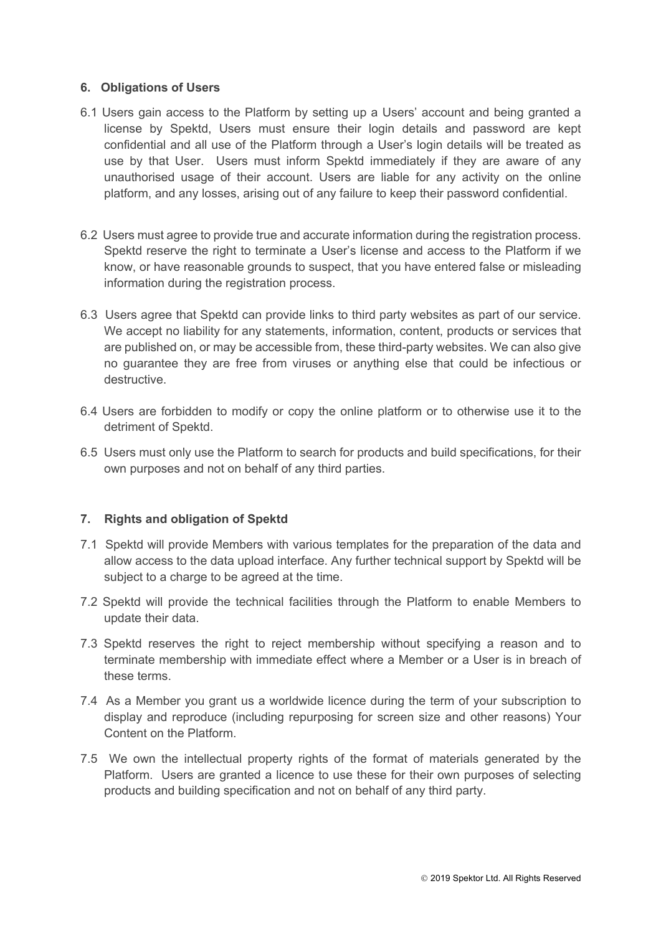## **6. Obligations of Users**

- 6.1 Users gain access to the Platform by setting up a Users' account and being granted a license by Spektd, Users must ensure their login details and password are kept confidential and all use of the Platform through a User's login details will be treated as use by that User. Users must inform Spektd immediately if they are aware of any unauthorised usage of their account. Users are liable for any activity on the online platform, and any losses, arising out of any failure to keep their password confidential.
- 6.2 Users must agree to provide true and accurate information during the registration process. Spektd reserve the right to terminate a User's license and access to the Platform if we know, or have reasonable grounds to suspect, that you have entered false or misleading information during the registration process.
- 6.3 Users agree that Spektd can provide links to third party websites as part of our service. We accept no liability for any statements, information, content, products or services that are published on, or may be accessible from, these third-party websites. We can also give no guarantee they are free from viruses or anything else that could be infectious or destructive.
- 6.4 Users are forbidden to modify or copy the online platform or to otherwise use it to the detriment of Spektd.
- 6.5 Users must only use the Platform to search for products and build specifications, for their own purposes and not on behalf of any third parties.

#### **7. Rights and obligation of Spektd**

- 7.1 Spektd will provide Members with various templates for the preparation of the data and allow access to the data upload interface. Any further technical support by Spektd will be subject to a charge to be agreed at the time.
- 7.2 Spektd will provide the technical facilities through the Platform to enable Members to update their data.
- 7.3 Spektd reserves the right to reject membership without specifying a reason and to terminate membership with immediate effect where a Member or a User is in breach of these terms.
- 7.4 As a Member you grant us a worldwide licence during the term of your subscription to display and reproduce (including repurposing for screen size and other reasons) Your Content on the Platform.
- 7.5 We own the intellectual property rights of the format of materials generated by the Platform. Users are granted a licence to use these for their own purposes of selecting products and building specification and not on behalf of any third party.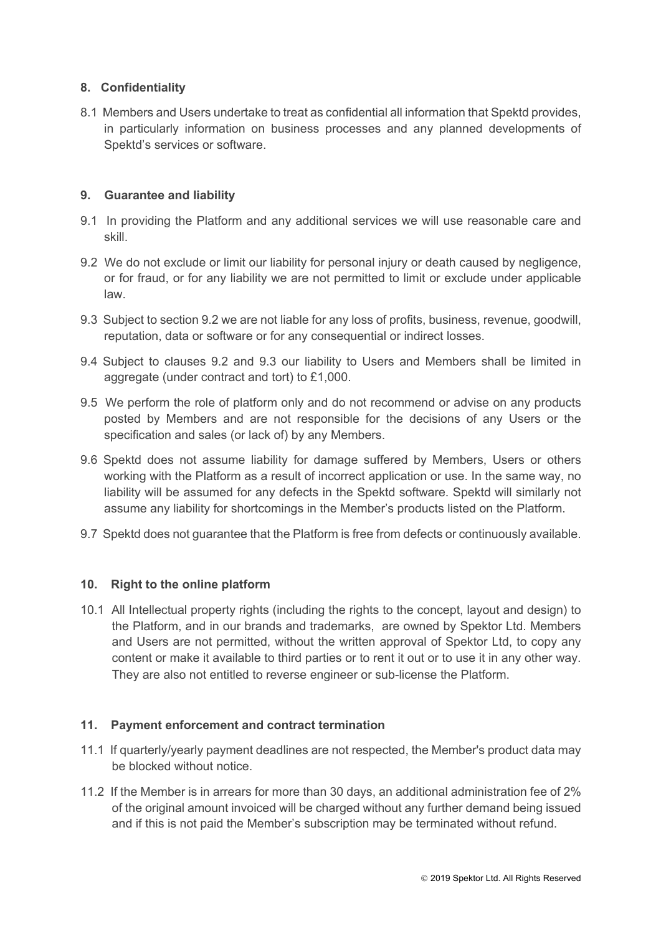# **8. Confidentiality**

8.1 Members and Users undertake to treat as confidential all information that Spektd provides, in particularly information on business processes and any planned developments of Spektd's services or software.

# **9. Guarantee and liability**

- 9.1 In providing the Platform and any additional services we will use reasonable care and skill.
- 9.2 We do not exclude or limit our liability for personal injury or death caused by negligence, or for fraud, or for any liability we are not permitted to limit or exclude under applicable law.
- 9.3 Subject to section 9.2 we are not liable for any loss of profits, business, revenue, goodwill, reputation, data or software or for any consequential or indirect losses.
- 9.4 Subject to clauses 9.2 and 9.3 our liability to Users and Members shall be limited in aggregate (under contract and tort) to £1,000.
- 9.5 We perform the role of platform only and do not recommend or advise on any products posted by Members and are not responsible for the decisions of any Users or the specification and sales (or lack of) by any Members.
- 9.6 Spektd does not assume liability for damage suffered by Members, Users or others working with the Platform as a result of incorrect application or use. In the same way, no liability will be assumed for any defects in the Spektd software. Spektd will similarly not assume any liability for shortcomings in the Member's products listed on the Platform.
- 9.7 Spektd does not guarantee that the Platform is free from defects or continuously available.

#### **10. Right to the online platform**

10.1 All Intellectual property rights (including the rights to the concept, layout and design) to the Platform, and in our brands and trademarks, are owned by Spektor Ltd. Members and Users are not permitted, without the written approval of Spektor Ltd, to copy any content or make it available to third parties or to rent it out or to use it in any other way. They are also not entitled to reverse engineer or sub-license the Platform.

#### **11. Payment enforcement and contract termination**

- 11.1 If quarterly/yearly payment deadlines are not respected, the Member's product data may be blocked without notice.
- 11.2 If the Member is in arrears for more than 30 days, an additional administration fee of 2% of the original amount invoiced will be charged without any further demand being issued and if this is not paid the Member's subscription may be terminated without refund.